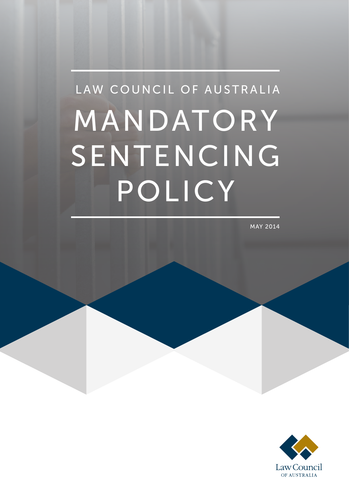# MANDATORY SENTENCING POLICY LAW COUNCIL OF AUSTRALIA

MAY 2014

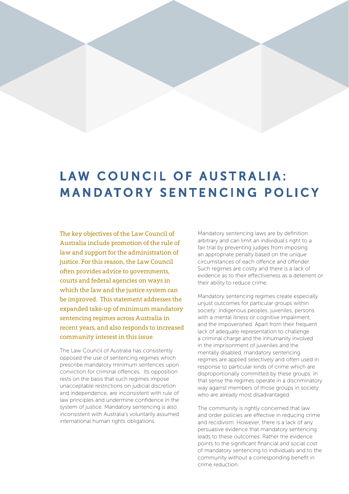## LAW COUNCIL OF AUSTRALIA: MANDATORY SENTENCING POLICY

The key objectives of the Law Council of Australia include promotion of the rule of law and support for the administration of justice. For this reason, the Law Council often provides advice to governments, courts and federal agencies on ways in which the law and the justice system can be improved. This statement addresses the expanded take-up of minimum mandatory sentencing regimes across Australia in recent years, and also responds to increased community interest in this issue.

The Law Council of Australia has consistently opposed the use of sentencing regimes which prescribe mandatory minimum sentences upon conviction for criminal offences. Its opposition rests on the basis that such regimes impose unacceptable restrictions on judicial discretion and independence, are inconsistent with rule of law principles and undermine confidence in the system of justice. Mandatory sentencing is also inconsistent with Australia's voluntarily assumed international human rights obligations.

Mandatory sentencing laws are by definition arbitrary and can limit an individual's right to a fair trial by preventing judges from imposing an appropriate penalty based on the unique circumstances of each offence and offender. Such regimes are costly and there is a lack of evidence as to their effectiveness as a deterrent or their ability to reduce crime.

Mandatory sentencing regimes create especially unjust outcomes for particular groups within society: indigenous peoples, juveniles, persons with a mental illness or cognitive impairment, and the impoverished. Apart from their frequent lack of adequate representation to challenge a criminal charge and the inhumanity involved in the imprisonment of juveniles and the mentally disabled, mandatory sentencing regimes are applied selectively and often used in response to particular kinds of crime which are disproportionally committed by these groups. In that sense the regimes operate in a discriminatory way against members of those groups in society who are already most disadvantaged.

The community is rightly concerned that law and order policies are effective in reducing crime and recidivism. However, there is a lack of any persuasive evidence that mandatory sentencing leads to these outcomes. Rather the evidence points to the significant financial and social cost of mandatory sentencing to individuals and to the community without a corresponding benefit in crime reduction.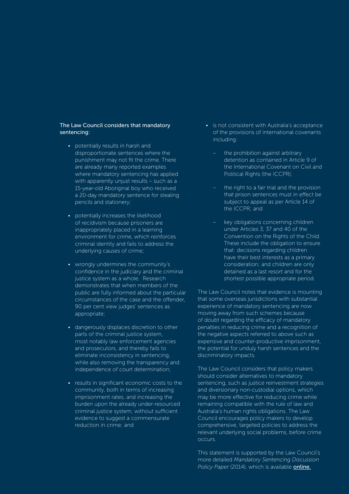## The Law Council considers that mandatory sentencing:

- potentially results in harsh and disproportionate sentences where the punishment may not fit the crime. There are already many reported examples where mandatory sentencing has applied with apparently unjust results – such as a 15-year-old Aboriginal boy who received a 20-day mandatory sentence for stealing pencils and stationery;
- potentially increases the likelihood of recidivism because prisoners are inappropriately placed in a learning environment for crime, which reinforces criminal identity and fails to address the underlying causes of crime;
- wrongly undermines the community's confidence in the judiciary and the criminal justice system as a whole. Research demonstrates that when members of the public are fully informed about the particular circumstances of the case and the offender, 90 per cent view judges' sentences as appropriate;
- dangerously displaces discretion to other parts of the criminal justice system, most notably law enforcement agencies and prosecutors, and thereby fails to eliminate inconsistency in sentencing, while also removing the transparency and independence of court determination;
- results in significant economic costs to the community, both in terms of increasing imprisonment rates, and increasing the burden upon the already under-resourced criminal justice system, without sufficient evidence to suggest a commensurate reduction in crime; and
- is not consistent with Australia's acceptance of the provisions of international covenants including:
	- the prohibition against arbitrary detention as contained in Article 9 of the International Covenant on Civil and Political Rights (the ICCPR);
	- the right to a fair trial and the provision that prison sentences must in effect be subject to appeal as per Article 14 of the ICCPR; and
	- key obligations concerning children under Articles 3, 37 and 40 of the Convention on the Rights of the Child. These include the obligation to ensure that: decisions regarding children have their best interests as a primary consideration; and children are only detained as a last resort and for the shortest possible appropriate period.

The Law Council notes that evidence is mounting that some overseas jurisdictions with substantial experience of mandatory sentencing are now moving away from such schemes because of doubt regarding the efficacy of mandatory penalties in reducing crime and a recognition of the negative aspects referred to above such as expensive and counter-productive imprisonment, the potential for unduly harsh sentences and the discriminatory impacts.

The Law Council considers that policy makers should consider alternatives to mandatory sentencing, such as justice reinvestment strategies and diversionary non-custodial options, which may be more effective for reducing crime while remaining compatible with the rule of law and Australia's human rights obligations. The Law Council encourages policy makers to develop comprehensive, targeted policies to address the relevant underlying social problems, before crime occurs.

This statement is supported by the Law Council's more detailed *Mandatory Sentencing Discussion*  Policy Paper (2014), which is available **[online.](http://www.lawcouncil.asn.au/lawcouncil/images/LCA-PDF/discussion%20papers/2014_06_18_Final_Law_Council_Mandatory_Sentencing_Discussion_Paper.pdf)**